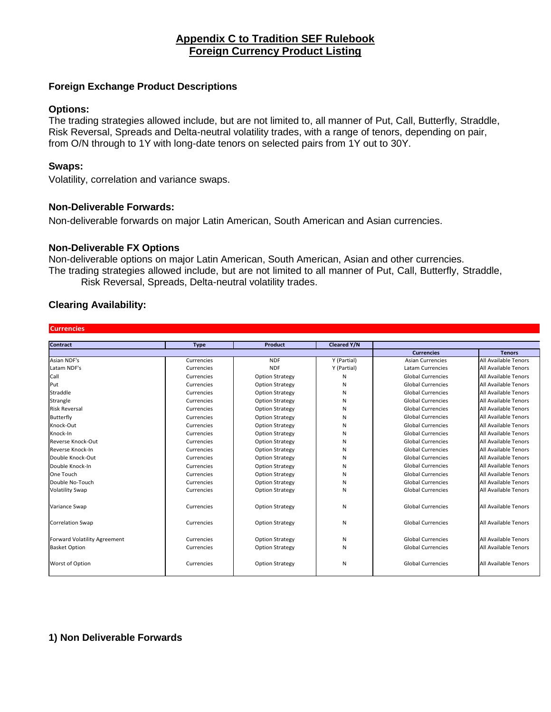# **Appendix C to Tradition SEF Rulebook Foreign Currency Product Listing**

# **Foreign Exchange Product Descriptions**

### **Options:**

The trading strategies allowed include, but are not limited to, all manner of Put, Call, Butterfly, Straddle, Risk Reversal, Spreads and Delta-neutral volatility trades, with a range of tenors, depending on pair, from O/N through to 1Y with long-date tenors on selected pairs from 1Y out to 30Y.

### **Swaps:**

Volatility, correlation and variance swaps.

# **Non-Deliverable Forwards:**

Non-deliverable forwards on major Latin American, South American and Asian currencies.

### **Non-Deliverable FX Options**

Non-deliverable options on major Latin American, South American, Asian and other currencies. The trading strategies allowed include, but are not limited to all manner of Put, Call, Butterfly, Straddle, Risk Reversal, Spreads, Delta-neutral volatility trades.

# **Clearing Availability:**

#### **Currencies**

| <b>Contract</b>              | <b>Type</b> | <b>Product</b>         | <b>Cleared Y/N</b> |                          |                      |
|------------------------------|-------------|------------------------|--------------------|--------------------------|----------------------|
|                              |             |                        |                    | <b>Currencies</b>        | <b>Tenors</b>        |
| Asian NDF's                  | Currencies  | <b>NDF</b>             | Y (Partial)        | <b>Asian Currencies</b>  | All Available Tenors |
| Latam NDF's                  | Currencies  | <b>NDF</b>             | Y (Partial)        | <b>Latam Currencies</b>  | All Available Tenors |
| Call                         | Currencies  | <b>Option Strategy</b> | N                  | <b>Global Currencies</b> | All Available Tenors |
| Put                          | Currencies  | <b>Option Strategy</b> | N                  | <b>Global Currencies</b> | All Available Tenors |
| Straddle                     | Currencies  | <b>Option Strategy</b> | N                  | <b>Global Currencies</b> | All Available Tenors |
| Strangle                     | Currencies  | <b>Option Strategy</b> | N                  | <b>Global Currencies</b> | All Available Tenors |
| <b>Risk Reversal</b>         | Currencies  | <b>Option Strategy</b> | N                  | <b>Global Currencies</b> | All Available Tenors |
| Butterfly                    | Currencies  | <b>Option Strategy</b> | N                  | <b>Global Currencies</b> | All Available Tenors |
| Knock-Out                    | Currencies  | <b>Option Strategy</b> | N                  | <b>Global Currencies</b> | All Available Tenors |
| Knock-In                     | Currencies  | <b>Option Strategy</b> | N                  | <b>Global Currencies</b> | All Available Tenors |
| Reverse Knock-Out            | Currencies  | <b>Option Strategy</b> | N                  | <b>Global Currencies</b> | All Available Tenors |
| Reverse Knock-In             | Currencies  | <b>Option Strategy</b> | N                  | <b>Global Currencies</b> | All Available Tenors |
| Double Knock-Out             | Currencies  | <b>Option Strategy</b> | N                  | <b>Global Currencies</b> | All Available Tenors |
| Double Knock-In              | Currencies  | <b>Option Strategy</b> | N                  | <b>Global Currencies</b> | All Available Tenors |
| One Touch                    | Currencies  | <b>Option Strategy</b> | N                  | <b>Global Currencies</b> | All Available Tenors |
| Double No-Touch              | Currencies  | <b>Option Strategy</b> | N                  | <b>Global Currencies</b> | All Available Tenors |
| <b>Volatility Swap</b>       | Currencies  | <b>Option Strategy</b> | N                  | <b>Global Currencies</b> | All Available Tenors |
| Variance Swap                | Currencies  | <b>Option Strategy</b> | N                  | <b>Global Currencies</b> | All Available Tenors |
| <b>Correlation Swap</b>      | Currencies  | <b>Option Strategy</b> | N                  | <b>Global Currencies</b> | All Available Tenors |
| Forward Volatility Agreement | Currencies  | <b>Option Strategy</b> | N                  | <b>Global Currencies</b> | All Available Tenors |
| <b>Basket Option</b>         | Currencies  | <b>Option Strategy</b> | N                  | <b>Global Currencies</b> | All Available Tenors |
| Worst of Option              | Currencies  | <b>Option Strategy</b> | N                  | <b>Global Currencies</b> | All Available Tenors |

## **1) Non Deliverable Forwards**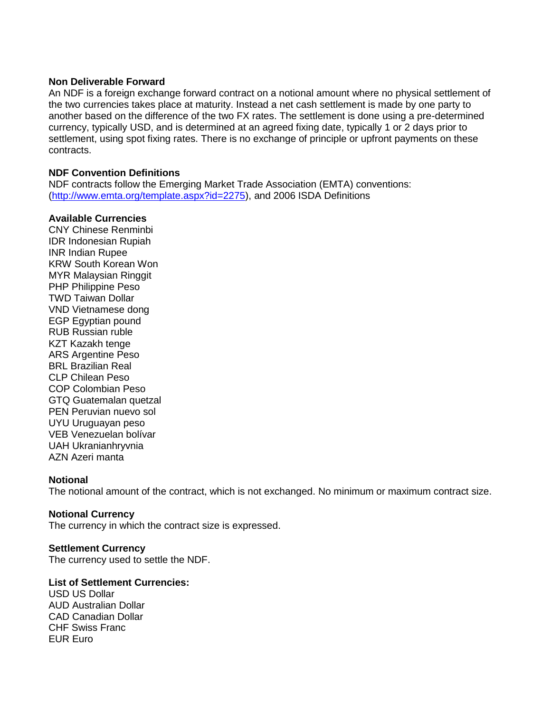#### **Non Deliverable Forward**

An NDF is a foreign exchange forward contract on a notional amount where no physical settlement of the two currencies takes place at maturity. Instead a net cash settlement is made by one party to another based on the difference of the two FX rates. The settlement is done using a pre-determined currency, typically USD, and is determined at an agreed fixing date, typically 1 or 2 days prior to settlement, using spot fixing rates. There is no exchange of principle or upfront payments on these contracts.

### **NDF Convention Definitions**

NDF contracts follow the Emerging Market Trade Association (EMTA) conventions: [\(http://www.emta.org/template.aspx?id=2275\)](http://www.emta.org/template.aspx?id=2275), and 2006 ISDA Definitions

### **Available Currencies**

CNY Chinese Renminbi IDR Indonesian Rupiah INR Indian Rupee KRW South Korean Won MYR Malaysian Ringgit PHP Philippine Peso TWD Taiwan Dollar VND Vietnamese dong EGP Egyptian pound RUB Russian ruble KZT Kazakh tenge ARS Argentine Peso BRL Brazilian Real CLP Chilean Peso COP Colombian Peso GTQ Guatemalan quetzal PEN Peruvian nuevo sol UYU Uruguayan peso VEB Venezuelan bolívar UAH Ukranianhryvnia AZN Azeri manta

### **Notional**

The notional amount of the contract, which is not exchanged. No minimum or maximum contract size.

### **Notional Currency**

The currency in which the contract size is expressed.

### **Settlement Currency**

The currency used to settle the NDF.

### **List of Settlement Currencies:**

USD US Dollar AUD Australian Dollar CAD Canadian Dollar CHF Swiss Franc EUR Euro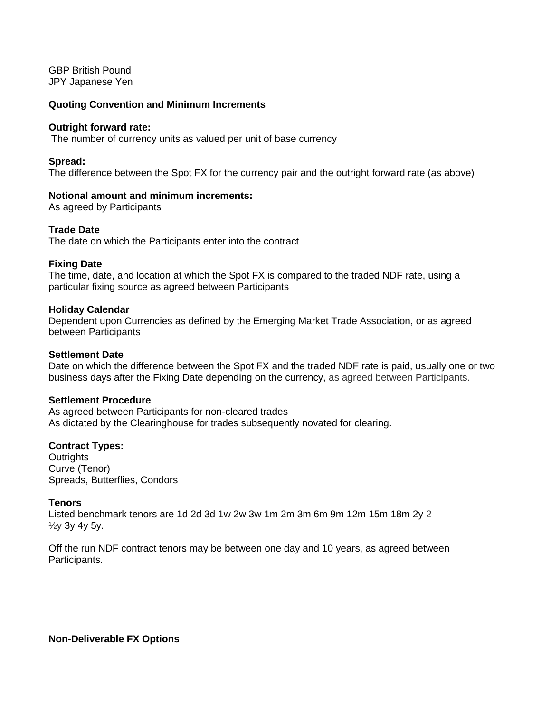GBP British Pound JPY Japanese Yen

#### **Quoting Convention and Minimum Increments**

#### **Outright forward rate:**

The number of currency units as valued per unit of base currency

#### **Spread:**

The difference between the Spot FX for the currency pair and the outright forward rate (as above)

### **Notional amount and minimum increments:**

As agreed by Participants

### **Trade Date**

The date on which the Participants enter into the contract

#### **Fixing Date**

The time, date, and location at which the Spot FX is compared to the traded NDF rate, using a particular fixing source as agreed between Participants

#### **Holiday Calendar**

Dependent upon Currencies as defined by the Emerging Market Trade Association, or as agreed between Participants

#### **Settlement Date**

Date on which the difference between the Spot FX and the traded NDF rate is paid, usually one or two business days after the Fixing Date depending on the currency, as agreed between Participants.

#### **Settlement Procedure**

As agreed between Participants for non-cleared trades As dictated by the Clearinghouse for trades subsequently novated for clearing.

#### **Contract Types:**

**Outrights** Curve (Tenor) Spreads, Butterflies, Condors

### **Tenors**

Listed benchmark tenors are 1d 2d 3d 1w 2w 3w 1m 2m 3m 6m 9m 12m 15m 18m 2y 2 ½y 3y 4y 5y.

Off the run NDF contract tenors may be between one day and 10 years, as agreed between Participants.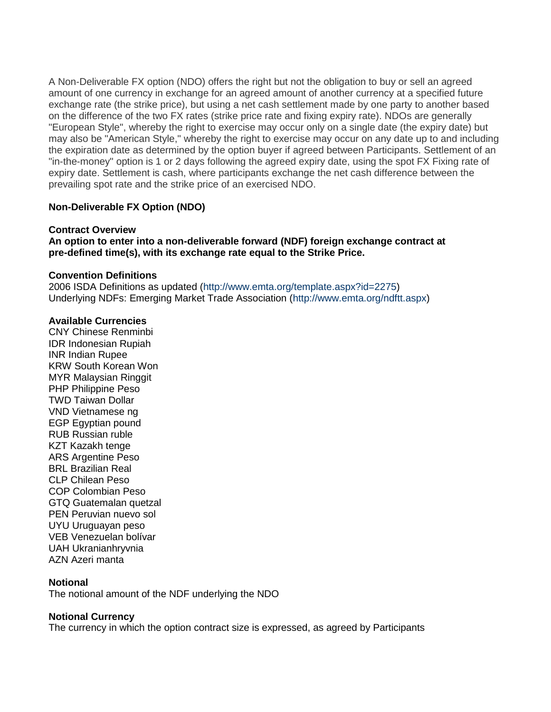A Non-Deliverable FX option (NDO) offers the right but not the obligation to buy or sell an agreed amount of one currency in exchange for an agreed amount of another currency at a specified future exchange rate (the strike price), but using a net cash settlement made by one party to another based on the difference of the two FX rates (strike price rate and fixing expiry rate). NDOs are generally "European Style", whereby the right to exercise may occur only on a single date (the expiry date) but may also be "American Style," whereby the right to exercise may occur on any date up to and including the expiration date as determined by the option buyer if agreed between Participants. Settlement of an "in-the-money" option is 1 or 2 days following the agreed expiry date, using the spot FX Fixing rate of expiry date. Settlement is cash, where participants exchange the net cash difference between the prevailing spot rate and the strike price of an exercised NDO.

# **Non-Deliverable FX Option (NDO)**

# **Contract Overview**

**An option to enter into a non-deliverable forward (NDF) foreign exchange contract at pre-defined time(s), with its exchange rate equal to the Strike Price.**

# **Convention Definitions**

2006 ISDA Definitions as updated (http://www.emta.org/template.aspx?id=2275) Underlying NDFs: Emerging Market Trade Association (http://www.emta.org/ndftt.aspx)

# **Available Currencies**

CNY Chinese Renminbi IDR Indonesian Rupiah INR Indian Rupee KRW South Korean Won MYR Malaysian Ringgit PHP Philippine Peso TWD Taiwan Dollar VND Vietnamese ng EGP Egyptian pound RUB Russian ruble KZT Kazakh tenge ARS Argentine Peso BRL Brazilian Real CLP Chilean Peso COP Colombian Peso GTQ Guatemalan quetzal PEN Peruvian nuevo sol UYU Uruguayan peso VEB Venezuelan bolívar UAH Ukranianhryvnia AZN Azeri manta

### **Notional**

The notional amount of the NDF underlying the NDO

# **Notional Currency**

The currency in which the option contract size is expressed, as agreed by Participants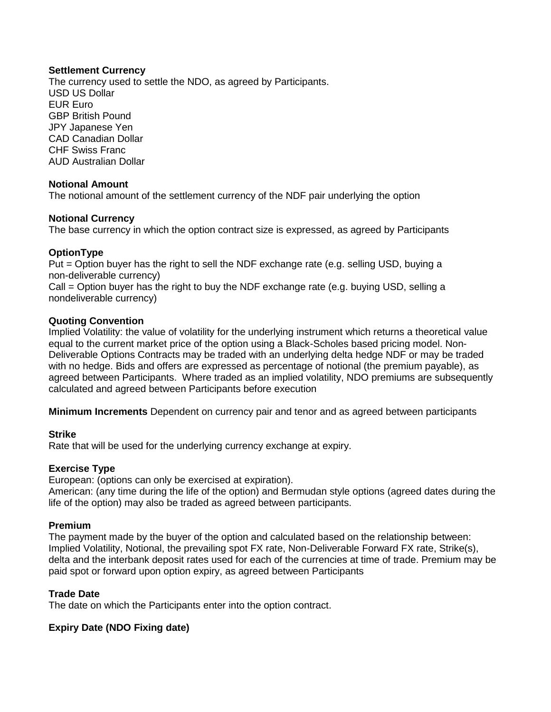# **Settlement Currency**

The currency used to settle the NDO, as agreed by Participants. USD US Dollar EUR Euro GBP British Pound JPY Japanese Yen CAD Canadian Dollar CHF Swiss Franc AUD Australian Dollar

# **Notional Amount**

The notional amount of the settlement currency of the NDF pair underlying the option

# **Notional Currency**

The base currency in which the option contract size is expressed, as agreed by Participants

# **OptionType**

Put = Option buyer has the right to sell the NDF exchange rate (e.g. selling USD, buying a non-deliverable currency)

Call = Option buyer has the right to buy the NDF exchange rate (e.g. buying USD, selling a nondeliverable currency)

### **Quoting Convention**

Implied Volatility: the value of volatility for the underlying instrument which returns a theoretical value equal to the current market price of the option using a Black-Scholes based pricing model. Non-Deliverable Options Contracts may be traded with an underlying delta hedge NDF or may be traded with no hedge. Bids and offers are expressed as percentage of notional (the premium payable), as agreed between Participants. Where traded as an implied volatility, NDO premiums are subsequently calculated and agreed between Participants before execution

**Minimum Increments** Dependent on currency pair and tenor and as agreed between participants

### **Strike**

Rate that will be used for the underlying currency exchange at expiry.

# **Exercise Type**

European: (options can only be exercised at expiration).

American: (any time during the life of the option) and Bermudan style options (agreed dates during the life of the option) may also be traded as agreed between participants.

### **Premium**

The payment made by the buyer of the option and calculated based on the relationship between: Implied Volatility, Notional, the prevailing spot FX rate, Non-Deliverable Forward FX rate, Strike(s), delta and the interbank deposit rates used for each of the currencies at time of trade. Premium may be paid spot or forward upon option expiry, as agreed between Participants

### **Trade Date**

The date on which the Participants enter into the option contract.

# **Expiry Date (NDO Fixing date)**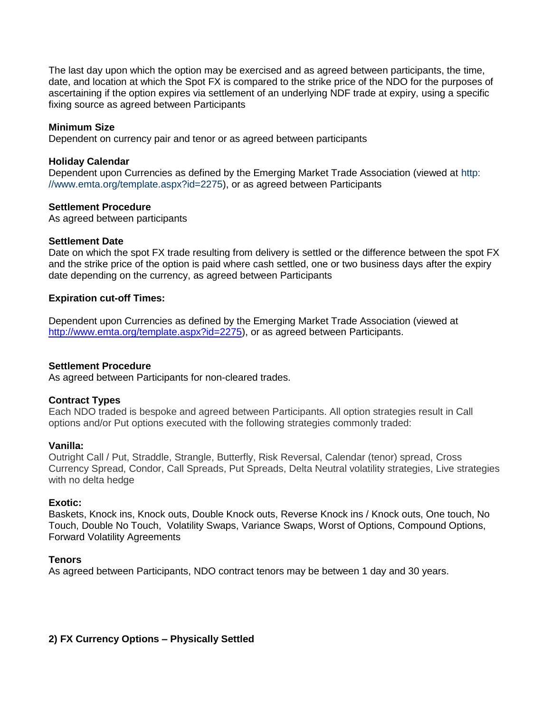The last day upon which the option may be exercised and as agreed between participants, the time, date, and location at which the Spot FX is compared to the strike price of the NDO for the purposes of ascertaining if the option expires via settlement of an underlying NDF trade at expiry, using a specific fixing source as agreed between Participants

### **Minimum Size**

Dependent on currency pair and tenor or as agreed between participants

### **Holiday Calendar**

Dependent upon Currencies as defined by the Emerging Market Trade Association (viewed at http: //www.emta.org/template.aspx?id=2275), or as agreed between Participants

### **Settlement Procedure**

As agreed between participants

# **Settlement Date**

Date on which the spot FX trade resulting from delivery is settled or the difference between the spot FX and the strike price of the option is paid where cash settled, one or two business days after the expiry date depending on the currency, as agreed between Participants

### **Expiration cut-off Times:**

Dependent upon Currencies as defined by the Emerging Market Trade Association (viewed at [http://www.emta.org/template.aspx?id=2275\)](http://www.emta.org/template.aspx?id=2275), or as agreed between Participants.

### **Settlement Procedure**

As agreed between Participants for non-cleared trades.

### **Contract Types**

Each NDO traded is bespoke and agreed between Participants. All option strategies result in Call options and/or Put options executed with the following strategies commonly traded:

### **Vanilla:**

Outright Call / Put, Straddle, Strangle, Butterfly, Risk Reversal, Calendar (tenor) spread, Cross Currency Spread, Condor, Call Spreads, Put Spreads, Delta Neutral volatility strategies, Live strategies with no delta hedge

### **Exotic:**

Baskets, Knock ins, Knock outs, Double Knock outs, Reverse Knock ins / Knock outs, One touch, No Touch, Double No Touch, Volatility Swaps, Variance Swaps, Worst of Options, Compound Options, Forward Volatility Agreements

### **Tenors**

As agreed between Participants, NDO contract tenors may be between 1 day and 30 years.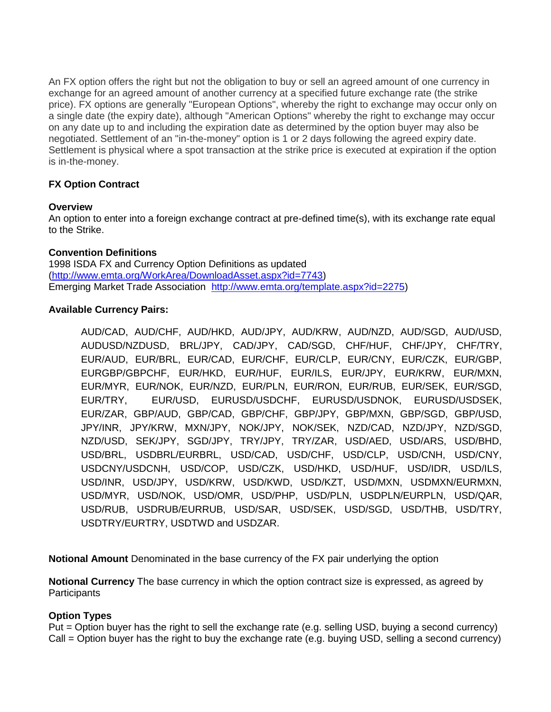An FX option offers the right but not the obligation to buy or sell an agreed amount of one currency in exchange for an agreed amount of another currency at a specified future exchange rate (the strike price). FX options are generally "European Options", whereby the right to exchange may occur only on a single date (the expiry date), although "American Options" whereby the right to exchange may occur on any date up to and including the expiration date as determined by the option buyer may also be negotiated. Settlement of an "in-the-money" option is 1 or 2 days following the agreed expiry date. Settlement is physical where a spot transaction at the strike price is executed at expiration if the option is in-the-money.

# **FX Option Contract**

# **Overview**

An option to enter into a foreign exchange contract at pre-defined time(s), with its exchange rate equal to the Strike.

# **Convention Definitions**

1998 ISDA FX and Currency Option Definitions as updated [\(http://www.emta.org/WorkArea/DownloadAsset.aspx?id=7743\)](http://www.emta.org/WorkArea/DownloadAsset.aspx?id=7743) Emerging Market Trade Association [http://www.emta.org/template.aspx?id=2275\)](http://www.emta.org/template.aspx?id=2275)

# **Available Currency Pairs:**

AUD/CAD, AUD/CHF, AUD/HKD, AUD/JPY, AUD/KRW, AUD/NZD, AUD/SGD, AUD/USD, AUDUSD/NZDUSD, BRL/JPY, CAD/JPY, CAD/SGD, CHF/HUF, CHF/JPY, CHF/TRY, EUR/AUD, EUR/BRL, EUR/CAD, EUR/CHF, EUR/CLP, EUR/CNY, EUR/CZK, EUR/GBP, EURGBP/GBPCHF, EUR/HKD, EUR/HUF, EUR/ILS, EUR/JPY, EUR/KRW, EUR/MXN, EUR/MYR, EUR/NOK, EUR/NZD, EUR/PLN, EUR/RON, EUR/RUB, EUR/SEK, EUR/SGD, EUR/TRY, EUR/USD, EURUSD/USDCHF, EURUSD/USDNOK, EURUSD/USDSEK, EUR/ZAR, GBP/AUD, GBP/CAD, GBP/CHF, GBP/JPY, GBP/MXN, GBP/SGD, GBP/USD, JPY/INR, JPY/KRW, MXN/JPY, NOK/JPY, NOK/SEK, NZD/CAD, NZD/JPY, NZD/SGD, NZD/USD, SEK/JPY, SGD/JPY, TRY/JPY, TRY/ZAR, USD/AED, USD/ARS, USD/BHD, USD/BRL, USDBRL/EURBRL, USD/CAD, USD/CHF, USD/CLP, USD/CNH, USD/CNY, USDCNY/USDCNH, USD/COP, USD/CZK, USD/HKD, USD/HUF, USD/IDR, USD/ILS, USD/INR, USD/JPY, USD/KRW, USD/KWD, USD/KZT, USD/MXN, USDMXN/EURMXN, USD/MYR, USD/NOK, USD/OMR, USD/PHP, USD/PLN, USDPLN/EURPLN, USD/QAR, USD/RUB, USDRUB/EURRUB, USD/SAR, USD/SEK, USD/SGD, USD/THB, USD/TRY, USDTRY/EURTRY, USDTWD and USDZAR.

**Notional Amount** Denominated in the base currency of the FX pair underlying the option

**Notional Currency** The base currency in which the option contract size is expressed, as agreed by **Participants** 

# **Option Types**

Put = Option buyer has the right to sell the exchange rate (e.g. selling USD, buying a second currency) Call = Option buyer has the right to buy the exchange rate (e.g. buying USD, selling a second currency)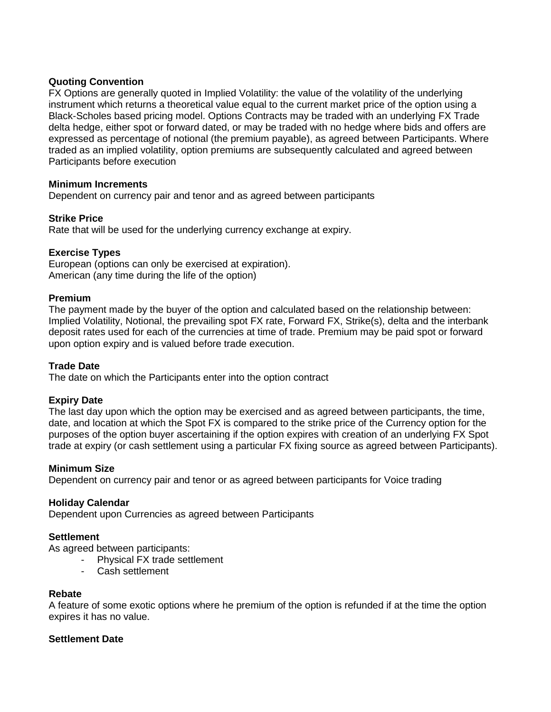# **Quoting Convention**

FX Options are generally quoted in Implied Volatility: the value of the volatility of the underlying instrument which returns a theoretical value equal to the current market price of the option using a Black-Scholes based pricing model. Options Contracts may be traded with an underlying FX Trade delta hedge, either spot or forward dated, or may be traded with no hedge where bids and offers are expressed as percentage of notional (the premium payable), as agreed between Participants. Where traded as an implied volatility, option premiums are subsequently calculated and agreed between Participants before execution

### **Minimum Increments**

Dependent on currency pair and tenor and as agreed between participants

# **Strike Price**

Rate that will be used for the underlying currency exchange at expiry.

# **Exercise Types**

European (options can only be exercised at expiration). American (any time during the life of the option)

### **Premium**

The payment made by the buyer of the option and calculated based on the relationship between: Implied Volatility, Notional, the prevailing spot FX rate, Forward FX, Strike(s), delta and the interbank deposit rates used for each of the currencies at time of trade. Premium may be paid spot or forward upon option expiry and is valued before trade execution.

# **Trade Date**

The date on which the Participants enter into the option contract

### **Expiry Date**

The last day upon which the option may be exercised and as agreed between participants, the time, date, and location at which the Spot FX is compared to the strike price of the Currency option for the purposes of the option buyer ascertaining if the option expires with creation of an underlying FX Spot trade at expiry (or cash settlement using a particular FX fixing source as agreed between Participants).

### **Minimum Size**

Dependent on currency pair and tenor or as agreed between participants for Voice trading

### **Holiday Calendar**

Dependent upon Currencies as agreed between Participants

# **Settlement**

As agreed between participants:

- Physical FX trade settlement
	- Cash settlement

### **Rebate**

A feature of some exotic options where he premium of the option is refunded if at the time the option expires it has no value.

### **Settlement Date**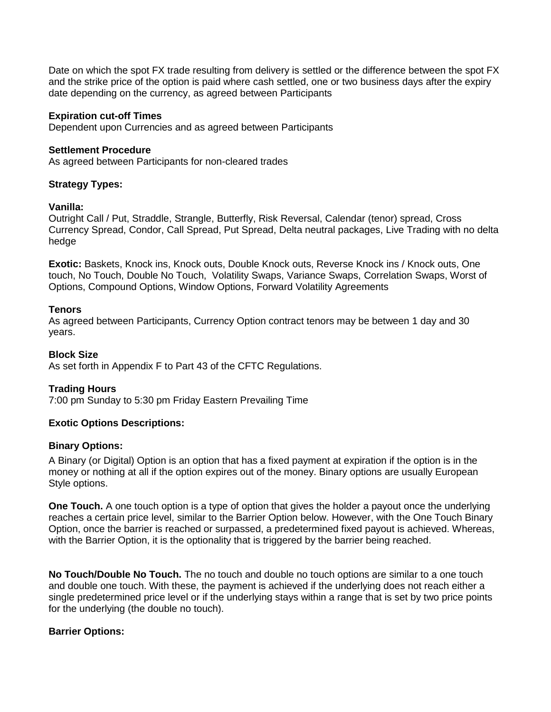Date on which the spot FX trade resulting from delivery is settled or the difference between the spot FX and the strike price of the option is paid where cash settled, one or two business days after the expiry date depending on the currency, as agreed between Participants

### **Expiration cut-off Times**

Dependent upon Currencies and as agreed between Participants

### **Settlement Procedure**

As agreed between Participants for non-cleared trades

# **Strategy Types:**

### **Vanilla:**

Outright Call / Put, Straddle, Strangle, Butterfly, Risk Reversal, Calendar (tenor) spread, Cross Currency Spread, Condor, Call Spread, Put Spread, Delta neutral packages, Live Trading with no delta hedge

**Exotic:** Baskets, Knock ins, Knock outs, Double Knock outs, Reverse Knock ins / Knock outs, One touch, No Touch, Double No Touch, Volatility Swaps, Variance Swaps, Correlation Swaps, Worst of Options, Compound Options, Window Options, Forward Volatility Agreements

# **Tenors**

As agreed between Participants, Currency Option contract tenors may be between 1 day and 30 years.

# **Block Size**

As set forth in Appendix F to Part 43 of the CFTC Regulations.

# **Trading Hours**

7:00 pm Sunday to 5:30 pm Friday Eastern Prevailing Time

# **Exotic Options Descriptions:**

### **Binary Options:**

A Binary (or Digital) Option is an option that has a fixed payment at expiration if the option is in the money or nothing at all if the option expires out of the money. Binary options are usually European Style options.

**One Touch.** A one touch option is a type of option that gives the holder a payout once the underlying reaches a certain price level, similar to the Barrier Option below. However, with the One Touch Binary Option, once the barrier is reached or surpassed, a predetermined fixed payout is achieved. Whereas, with the Barrier Option, it is the optionality that is triggered by the barrier being reached.

**No Touch/Double No Touch.** The no touch and double no touch options are similar to a one touch and double one touch. With these, the payment is achieved if the underlying does not reach either a single predetermined price level or if the underlying stays within a range that is set by two price points for the underlying (the double no touch).

# **Barrier Options:**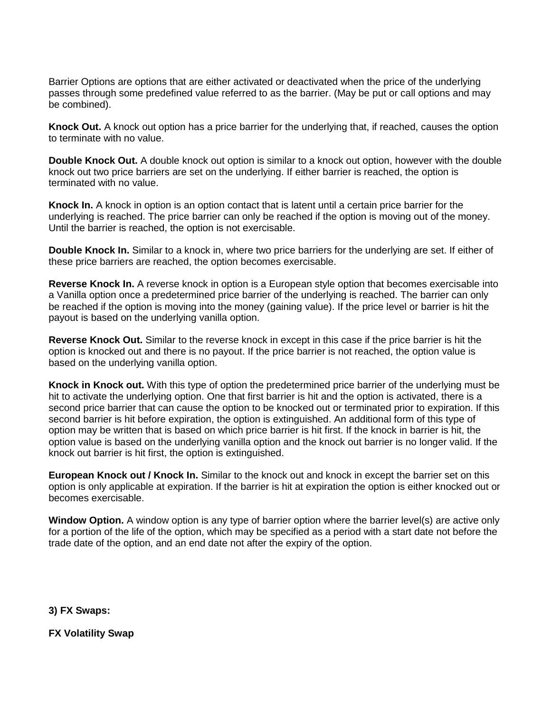Barrier Options are options that are either activated or deactivated when the price of the underlying passes through some predefined value referred to as the barrier. (May be put or call options and may be combined).

**Knock Out.** A knock out option has a price barrier for the underlying that, if reached, causes the option to terminate with no value.

**Double Knock Out.** A double knock out option is similar to a knock out option, however with the double knock out two price barriers are set on the underlying. If either barrier is reached, the option is terminated with no value.

**Knock In.** A knock in option is an option contact that is latent until a certain price barrier for the underlying is reached. The price barrier can only be reached if the option is moving out of the money. Until the barrier is reached, the option is not exercisable.

**Double Knock In.** Similar to a knock in, where two price barriers for the underlying are set. If either of these price barriers are reached, the option becomes exercisable.

**Reverse Knock In.** A reverse knock in option is a European style option that becomes exercisable into a Vanilla option once a predetermined price barrier of the underlying is reached. The barrier can only be reached if the option is moving into the money (gaining value). If the price level or barrier is hit the payout is based on the underlying vanilla option.

**Reverse Knock Out.** Similar to the reverse knock in except in this case if the price barrier is hit the option is knocked out and there is no payout. If the price barrier is not reached, the option value is based on the underlying vanilla option.

**Knock in Knock out.** With this type of option the predetermined price barrier of the underlying must be hit to activate the underlying option. One that first barrier is hit and the option is activated, there is a second price barrier that can cause the option to be knocked out or terminated prior to expiration. If this second barrier is hit before expiration, the option is extinguished. An additional form of this type of option may be written that is based on which price barrier is hit first. If the knock in barrier is hit, the option value is based on the underlying vanilla option and the knock out barrier is no longer valid. If the knock out barrier is hit first, the option is extinguished.

**European Knock out / Knock In.** Similar to the knock out and knock in except the barrier set on this option is only applicable at expiration. If the barrier is hit at expiration the option is either knocked out or becomes exercisable.

**Window Option.** A window option is any type of barrier option where the barrier level(s) are active only for a portion of the life of the option, which may be specified as a period with a start date not before the trade date of the option, and an end date not after the expiry of the option.

**3) FX Swaps:**

**FX Volatility Swap**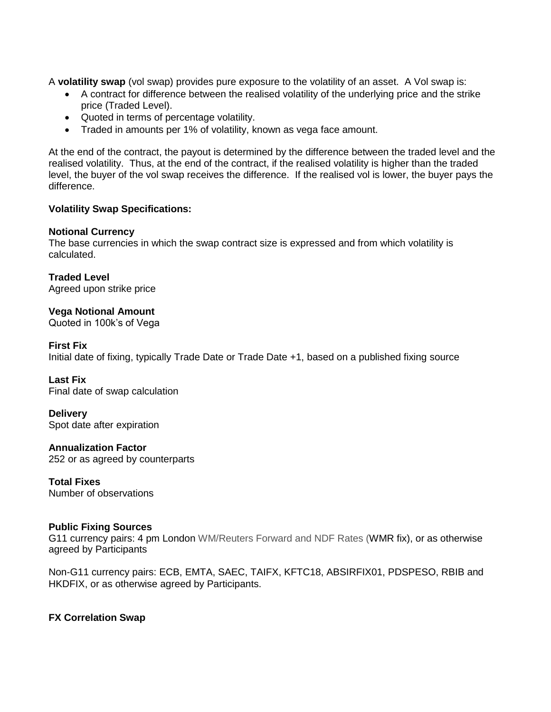A **volatility swap** (vol swap) provides pure exposure to the volatility of an asset. A Vol swap is:

- A contract for difference between the realised volatility of the underlying price and the strike price (Traded Level).
- Quoted in terms of percentage volatility.
- Traded in amounts per 1% of volatility, known as vega face amount.

At the end of the contract, the payout is determined by the difference between the traded level and the realised volatility. Thus, at the end of the contract, if the realised volatility is higher than the traded level, the buyer of the vol swap receives the difference. If the realised vol is lower, the buyer pays the difference.

### **Volatility Swap Specifications:**

### **Notional Currency**

The base currencies in which the swap contract size is expressed and from which volatility is calculated.

**Traded Level**  Agreed upon strike price

**Vega Notional Amount** Quoted in 100k's of Vega

**First Fix** Initial date of fixing, typically Trade Date or Trade Date +1, based on a published fixing source

**Last Fix** Final date of swap calculation

**Delivery** Spot date after expiration

**Annualization Factor** 252 or as agreed by counterparts

**Total Fixes** Number of observations

### **Public Fixing Sources**

G11 currency pairs: 4 pm London WM/Reuters Forward and NDF Rates (WMR fix), or as otherwise agreed by Participants

Non-G11 currency pairs: ECB, EMTA, SAEC, TAIFX, KFTC18, ABSIRFIX01, PDSPESO, RBIB and HKDFIX, or as otherwise agreed by Participants.

# **FX Correlation Swap**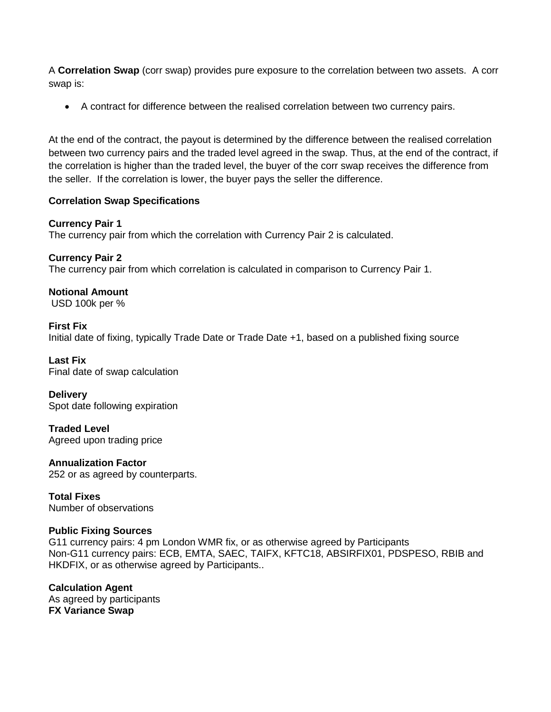A **Correlation Swap** (corr swap) provides pure exposure to the correlation between two assets. A corr swap is:

• A contract for difference between the realised correlation between two currency pairs.

At the end of the contract, the payout is determined by the difference between the realised correlation between two currency pairs and the traded level agreed in the swap. Thus, at the end of the contract, if the correlation is higher than the traded level, the buyer of the corr swap receives the difference from the seller. If the correlation is lower, the buyer pays the seller the difference.

# **Correlation Swap Specifications**

**Currency Pair 1** The currency pair from which the correlation with Currency Pair 2 is calculated.

**Currency Pair 2** The currency pair from which correlation is calculated in comparison to Currency Pair 1.

**Notional Amount** USD 100k per %

**First Fix**  Initial date of fixing, typically Trade Date or Trade Date +1, based on a published fixing source

**Last Fix**  Final date of swap calculation

**Delivery** Spot date following expiration

**Traded Level**  Agreed upon trading price

**Annualization Factor** 252 or as agreed by counterparts.

**Total Fixes** Number of observations

# **Public Fixing Sources**

G11 currency pairs: 4 pm London WMR fix, or as otherwise agreed by Participants Non-G11 currency pairs: ECB, EMTA, SAEC, TAIFX, KFTC18, ABSIRFIX01, PDSPESO, RBIB and HKDFIX, or as otherwise agreed by Participants..

**Calculation Agent** As agreed by participants **FX Variance Swap**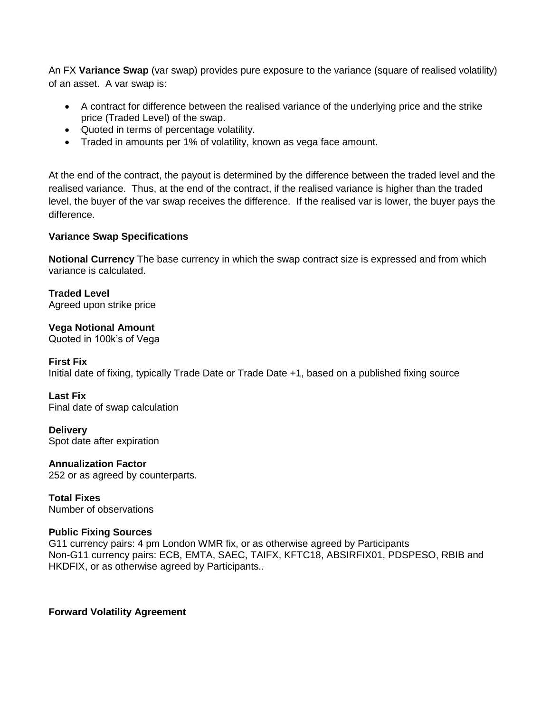An FX **Variance Swap** (var swap) provides pure exposure to the variance (square of realised volatility) of an asset. A var swap is:

- A contract for difference between the realised variance of the underlying price and the strike price (Traded Level) of the swap.
- Quoted in terms of percentage volatility.
- Traded in amounts per 1% of volatility, known as vega face amount.

At the end of the contract, the payout is determined by the difference between the traded level and the realised variance. Thus, at the end of the contract, if the realised variance is higher than the traded level, the buyer of the var swap receives the difference. If the realised var is lower, the buyer pays the difference.

# **Variance Swap Specifications**

**Notional Currency** The base currency in which the swap contract size is expressed and from which variance is calculated.

**Traded Level**  Agreed upon strike price

**Vega Notional Amount** Quoted in 100k's of Vega

### **First Fix**

Initial date of fixing, typically Trade Date or Trade Date +1, based on a published fixing source

**Last Fix**  Final date of swap calculation

**Delivery**  Spot date after expiration

**Annualization Factor**  252 or as agreed by counterparts.

**Total Fixes**  Number of observations

# **Public Fixing Sources**

G11 currency pairs: 4 pm London WMR fix, or as otherwise agreed by Participants Non-G11 currency pairs: ECB, EMTA, SAEC, TAIFX, KFTC18, ABSIRFIX01, PDSPESO, RBIB and HKDFIX, or as otherwise agreed by Participants..

**Forward Volatility Agreement**